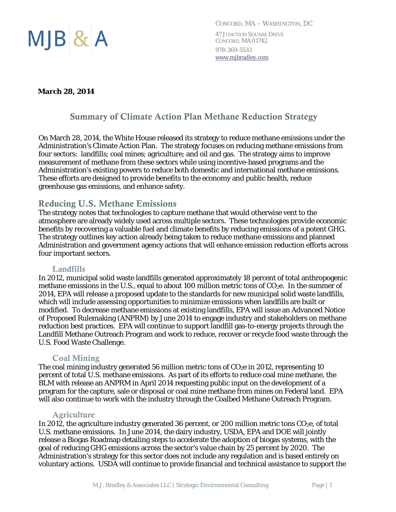

*CONCORD, MA - WASHINGTON, DC*  47 JUNCTION SQUARE DRIVE CONCORD, MA 01742 978-369-5533 www.mjbradley.com

#### **March 28, 2014**

# Summary of Climate Action Plan Methane Reduction Strategy

On March 28, 2014, the White House released its strategy to reduce methane emissions under the Administration's Climate Action Plan. The strategy focuses on reducing methane emissions from four sectors: landfills; coal mines; agriculture; and oil and gas. The strategy aims to improve measurement of methane from these sectors while using incentive-based programs and the Administration's existing powers to reduce both domestic and international methane emissions. These efforts are designed to provide benefits to the economy and public health, reduce greenhouse gas emissions, and enhance safety.

## Reducing U.S. Methane Emissions

The strategy notes that technologies to capture methane that would otherwise vent to the atmosphere are already widely used across multiple sectors. These technologies provide economic benefits by recovering a valuable fuel and climate benefits by reducing emissions of a potent GHG. The strategy outlines key action already being taken to reduce methane emissions and planned Administration and government agency actions that will enhance emission reduction efforts across four important sectors.

#### Landfills

In 2012, municipal solid waste landfills generated approximately 18 percent of total anthropogenic methane emissions in the U.S., equal to about 100 million metric tons of  $CO<sub>2</sub>e$ . In the summer of 2014, EPA will release a proposed update to the standards for new municipal solid waste landfills, which will include assessing opportunities to minimize emissions when landfills are built or modified. To decrease methane emissions at existing landfills, EPA will issue an Advanced Notice of Proposed Rulemaking (ANPRM) by June 2014 to engage industry and stakeholders on methane reduction best practices. EPA will continue to support landfill gas-to-energy projects through the Landfill Methane Outreach Program and work to reduce, recover or recycle food waste through the U.S. Food Waste Challenge.

#### Coal Mining

The coal mining industry generated 56 million metric tons of  $CO<sub>2</sub>e$  in 2012, representing 10 percent of total U.S. methane emissions. As part of its efforts to reduce coal mine methane, the BLM with release an ANPRM in April 2014 requesting public input on the development of a program for the capture, sale or disposal or coal mine methane from mines on Federal land. EPA will also continue to work with the industry through the Coalbed Methane Outreach Program.

#### **Agriculture**

In 2012, the agriculture industry generated 36 percent, or 200 million metric tons CO<sub>2</sub>e, of total U.S. methane emissions. In June 2014, the dairy industry, USDA, EPA and DOE will jointly release a Biogas Roadmap detailing steps to accelerate the adoption of biogas systems, with the goal of reducing GHG emissions across the sector's value chain by 25 percent by 2020. The Administration's strategy for this sector does not include any regulation and is based entirely on voluntary actions. USDA will continue to provide financial and technical assistance to support the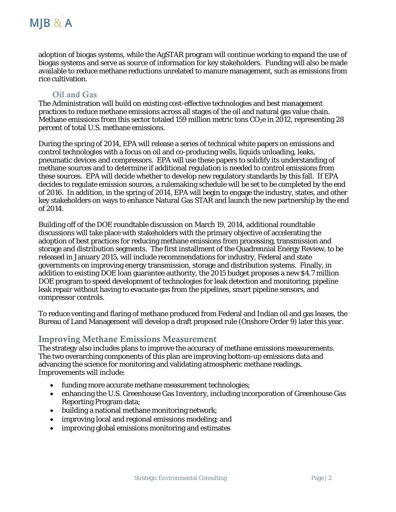

adoption of biogas systems, while the AgSTAR program will continue working to expand the use of biogas systems and serve as source of information for key stakeholders. Funding will also be made available to reduce methane reductions unrelated to manure management, such as emissions from rice cultivation.

### Oil and Gas

The Administration will build on existing cost-effective technologies and best management practices to reduce methane emissions across all stages of the oil and natural gas value chain. Methane emissions from this sector totaled 159 million metric tons  $CO<sub>2</sub>e$  in 2012, representing 28 percent of total U.S. methane emissions.

During the spring of 2014, EPA will release a series of technical white papers on emissions and control technologies with a focus on oil and co-producing wells, liquids unloading, leaks, pneumatic devices and compressors. EPA will use these papers to solidify its understanding of methane sources and to determine if additional regulation is needed to control emissions from these sources. EPA will decide whether to develop new regulatory standards by this fall. If EPA decides to regulate emission sources, a rulemaking schedule will be set to be completed by the end of 2016. In addition, in the spring of 2014, EPA will begin to engage the industry, states, and other key stakeholders on ways to enhance Natural Gas STAR and launch the new partnership by the end of 2014.

Building off of the DOE roundtable discussion on March 19, 2014, additional roundtable discussions will take place with stakeholders with the primary objective of accelerating the adoption of best practices for reducing methane emissions from processing, transmission and storage and distribution segments. The first installment of the Quadrennial Energy Review, to be released in January 2015, will include recommendations for industry, Federal and state governments on improving energy transmission, storage and distribution systems. Finally, in addition to existing DOE loan guarantee authority, the 2015 budget proposes a new \$4.7 million DOE program to speed development of technologies for leak detection and monitoring, pipeline leak repair without having to evacuate gas from the pipelines, smart pipeline sensors, and compressor controls.

To reduce venting and flaring of methane produced from Federal and Indian oil and gas leases, the Bureau of Land Management will develop a draft proposed rule (Onshore Order 9) later this year.

#### Improving Methane Emissions Measurement

The strategy also includes plans to improve the accuracy of methane emissions measurements. The two overarching components of this plan are improving bottom-up emissions data and advancing the science for monitoring and validating atmospheric methane readings. Improvements will include:

- funding more accurate methane measurement technologies;
- enhancing the U.S. Greenhouse Gas Inventory, including incorporation of Greenhouse Gas Reporting Program data;
- building a national methane monitoring network;
- improving local and regional emissions modeling; and
- improving global emissions monitoring and estimates